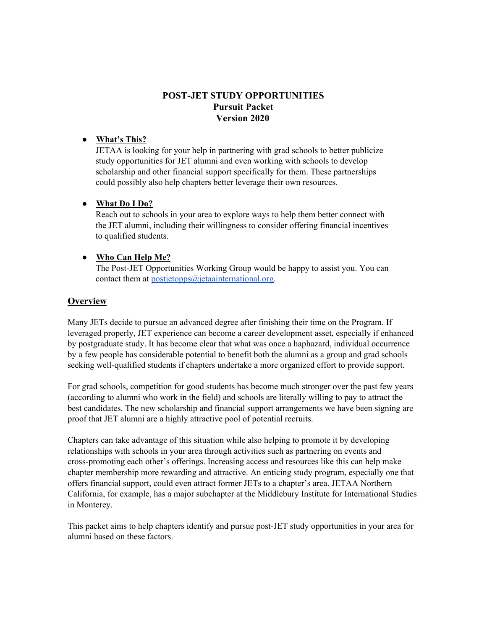# **POST-JET STUDY OPPORTUNITIES Pursuit Packet Version 2020**

## **● What's This?**

JETAA is looking for your help in partnering with grad schools to better publicize study opportunities for JET alumni and even working with schools to develop scholarship and other financial support specifically for them. These partnerships could possibly also help chapters better leverage their own resources.

#### **● What Do I Do?**

Reach out to schools in your area to explore ways to help them better connect with the JET alumni, including their willingness to consider offering financial incentives to qualified students.

#### **● Who Can Help Me?**

The Post-JET Opportunities Working Group would be happy to assist you. You can contact them at  $postietopps@jetaan'ternational.org$ .

## **Overview**

Many JETs decide to pursue an advanced degree after finishing their time on the Program. If leveraged properly, JET experience can become a career development asset, especially if enhanced by postgraduate study. It has become clear that what was once a haphazard, individual occurrence by a few people has considerable potential to benefit both the alumni as a group and grad schools seeking well-qualified students if chapters undertake a more organized effort to provide support.

For grad schools, competition for good students has become much stronger over the past few years (according to alumni who work in the field) and schools are literally willing to pay to attract the best candidates. The new scholarship and financial support arrangements we have been signing are proof that JET alumni are a highly attractive pool of potential recruits.

Chapters can take advantage of this situation while also helping to promote it by developing relationships with schools in your area through activities such as partnering on events and cross-promoting each other's offerings. Increasing access and resources like this can help make chapter membership more rewarding and attractive. An enticing study program, especially one that offers financial support, could even attract former JETs to a chapter's area. JETAA Northern California, for example, has a major subchapter at the Middlebury Institute for International Studies in Monterey.

This packet aims to help chapters identify and pursue post-JET study opportunities in your area for alumni based on these factors.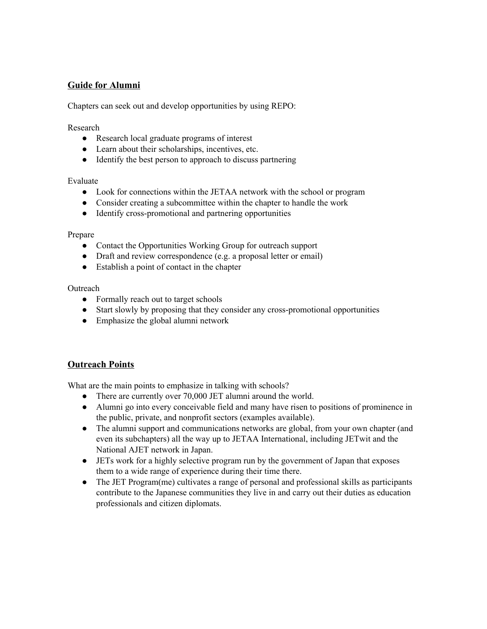## **Guide for Alumni**

Chapters can seek out and develop opportunities by using REPO:

Research

- Research local graduate programs of interest
- Learn about their scholarships, incentives, etc.
- Identify the best person to approach to discuss partnering

Evaluate

- Look for connections within the JETAA network with the school or program
- Consider creating a subcommittee within the chapter to handle the work
- Identify cross-promotional and partnering opportunities

Prepare

- Contact the Opportunities Working Group for outreach support
- Draft and review correspondence (e.g. a proposal letter or email)
- Establish a point of contact in the chapter

**Outreach** 

- Formally reach out to target schools
- Start slowly by proposing that they consider any cross-promotional opportunities
- Emphasize the global alumni network

## **Outreach Points**

What are the main points to emphasize in talking with schools?

- There are currently over 70,000 JET alumni around the world.
- Alumni go into every conceivable field and many have risen to positions of prominence in the public, private, and nonprofit sectors (examples available).
- The alumni support and communications networks are global, from your own chapter (and even its subchapters) all the way up to JETAA International, including JETwit and the National AJET network in Japan.
- JETs work for a highly selective program run by the government of Japan that exposes them to a wide range of experience during their time there.
- The JET Program(me) cultivates a range of personal and professional skills as participants contribute to the Japanese communities they live in and carry out their duties as education professionals and citizen diplomats.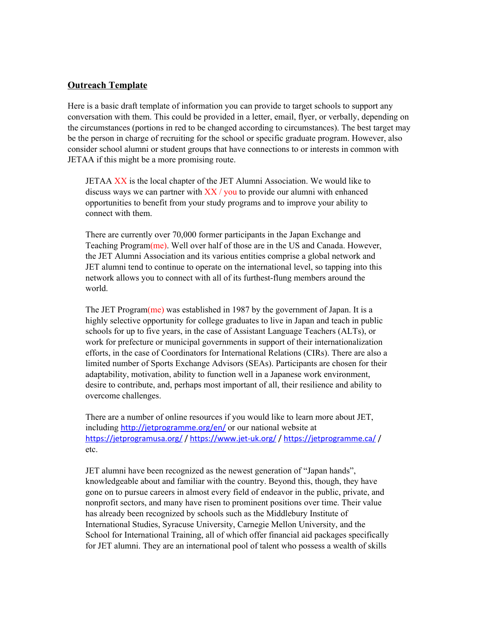#### **Outreach Template**

Here is a basic draft template of information you can provide to target schools to support any conversation with them. This could be provided in a letter, email, flyer, or verbally, depending on the circumstances (portions in red to be changed according to circumstances). The best target may be the person in charge of recruiting for the school or specific graduate program. However, also consider school alumni or student groups that have connections to or interests in common with JETAA if this might be a more promising route.

JETAA XX is the local chapter of the JET Alumni Association. We would like to discuss ways we can partner with  $XX/$  you to provide our alumni with enhanced opportunities to benefit from your study programs and to improve your ability to connect with them.

There are currently over 70,000 former participants in the Japan Exchange and Teaching Program(me). Well over half of those are in the US and Canada. However, the JET Alumni Association and its various entities comprise a global network and JET alumni tend to continue to operate on the international level, so tapping into this network allows you to connect with all of its furthest-flung members around the world.

The JET Program(me) was established in 1987 by the government of Japan. It is a highly selective opportunity for college graduates to live in Japan and teach in public schools for up to five years, in the case of Assistant Language Teachers (ALTs), or work for prefecture or municipal governments in support of their internationalization efforts, in the case of Coordinators for International Relations (CIRs). There are also a limited number of Sports Exchange Advisors (SEAs). Participants are chosen for their adaptability, motivation, ability to function well in a Japanese work environment, desire to contribute, and, perhaps most important of all, their resilience and ability to overcome challenges.

There are a number of online resources if you would like to learn more about JET, including <http://jetprogramme.org/en/> or our national website at <https://jetprogramusa.org/> / <https://www.jet-uk.org/> / <https://jetprogramme.ca/> / etc.

JET alumni have been recognized as the newest generation of "Japan hands", knowledgeable about and familiar with the country. Beyond this, though, they have gone on to pursue careers in almost every field of endeavor in the public, private, and nonprofit sectors, and many have risen to prominent positions over time. Their value has already been recognized by schools such as the Middlebury Institute of International Studies, Syracuse University, Carnegie Mellon University, and the School for International Training, all of which offer financial aid packages specifically for JET alumni. They are an international pool of talent who possess a wealth of skills